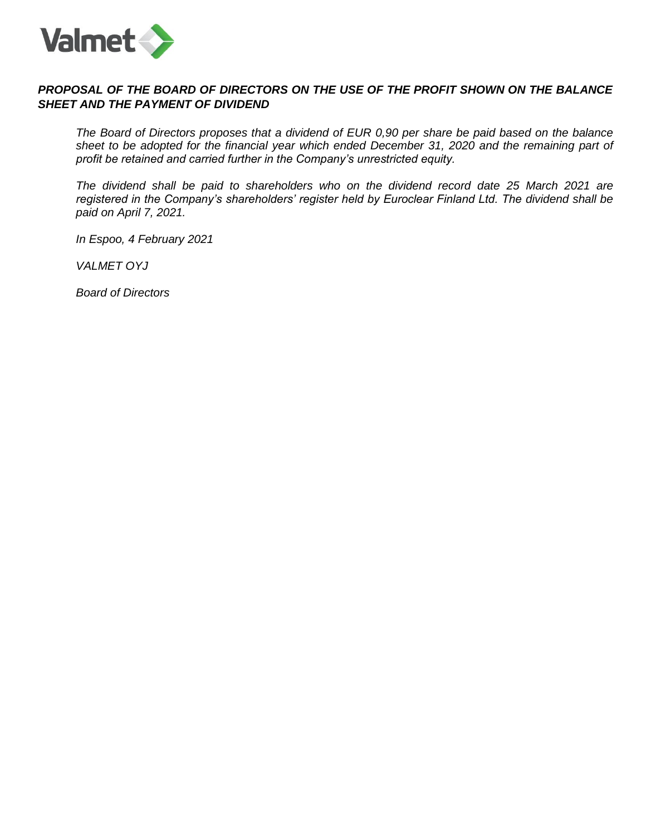

# *PROPOSAL OF THE BOARD OF DIRECTORS ON THE USE OF THE PROFIT SHOWN ON THE BALANCE SHEET AND THE PAYMENT OF DIVIDEND*

*The Board of Directors proposes that a dividend of EUR 0,90 per share be paid based on the balance sheet to be adopted for the financial year which ended December 31, 2020 and the remaining part of profit be retained and carried further in the Company's unrestricted equity.*

*The dividend shall be paid to shareholders who on the dividend record date 25 March 2021 are registered in the Company's shareholders' register held by Euroclear Finland Ltd. The dividend shall be paid on April 7, 2021.*

*In Espoo, 4 February 2021*

*VALMET OYJ*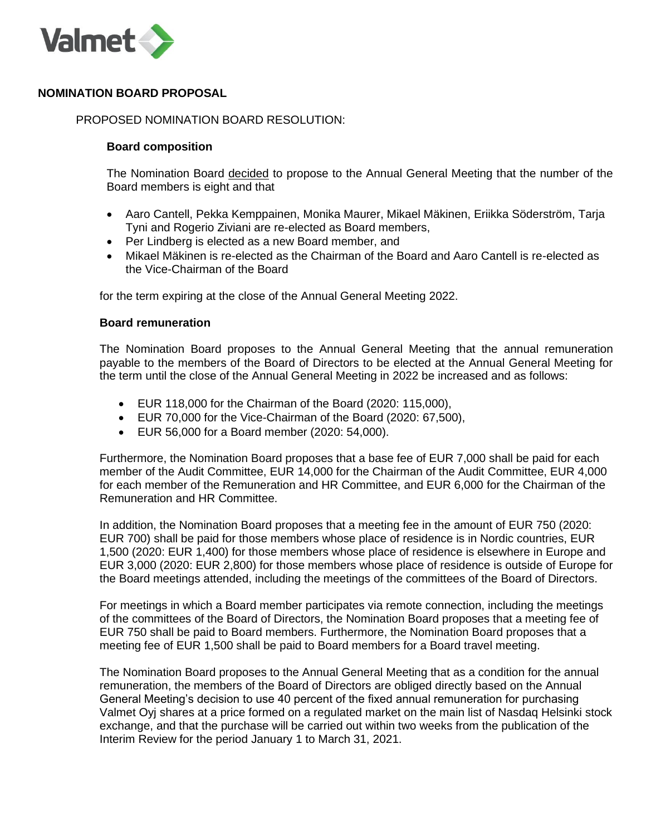

## **NOMINATION BOARD PROPOSAL**

### PROPOSED NOMINATION BOARD RESOLUTION:

### **Board composition**

The Nomination Board decided to propose to the Annual General Meeting that the number of the Board members is eight and that

- Aaro Cantell, Pekka Kemppainen, Monika Maurer, Mikael Mäkinen, Eriikka Söderström, Tarja Tyni and Rogerio Ziviani are re-elected as Board members,
- Per Lindberg is elected as a new Board member, and
- Mikael Mäkinen is re-elected as the Chairman of the Board and Aaro Cantell is re-elected as the Vice-Chairman of the Board

for the term expiring at the close of the Annual General Meeting 2022.

#### **Board remuneration**

The Nomination Board proposes to the Annual General Meeting that the annual remuneration payable to the members of the Board of Directors to be elected at the Annual General Meeting for the term until the close of the Annual General Meeting in 2022 be increased and as follows:

- EUR 118,000 for the Chairman of the Board (2020: 115,000),
- EUR 70,000 for the Vice-Chairman of the Board (2020: 67,500),
- EUR 56,000 for a Board member (2020: 54,000).

Furthermore, the Nomination Board proposes that a base fee of EUR 7,000 shall be paid for each member of the Audit Committee, EUR 14,000 for the Chairman of the Audit Committee, EUR 4,000 for each member of the Remuneration and HR Committee, and EUR 6,000 for the Chairman of the Remuneration and HR Committee.

In addition, the Nomination Board proposes that a meeting fee in the amount of EUR 750 (2020: EUR 700) shall be paid for those members whose place of residence is in Nordic countries, EUR 1,500 (2020: EUR 1,400) for those members whose place of residence is elsewhere in Europe and EUR 3,000 (2020: EUR 2,800) for those members whose place of residence is outside of Europe for the Board meetings attended, including the meetings of the committees of the Board of Directors.

For meetings in which a Board member participates via remote connection, including the meetings of the committees of the Board of Directors, the Nomination Board proposes that a meeting fee of EUR 750 shall be paid to Board members. Furthermore, the Nomination Board proposes that a meeting fee of EUR 1,500 shall be paid to Board members for a Board travel meeting.

The Nomination Board proposes to the Annual General Meeting that as a condition for the annual remuneration, the members of the Board of Directors are obliged directly based on the Annual General Meeting's decision to use 40 percent of the fixed annual remuneration for purchasing Valmet Oyj shares at a price formed on a regulated market on the main list of Nasdaq Helsinki stock exchange, and that the purchase will be carried out within two weeks from the publication of the Interim Review for the period January 1 to March 31, 2021.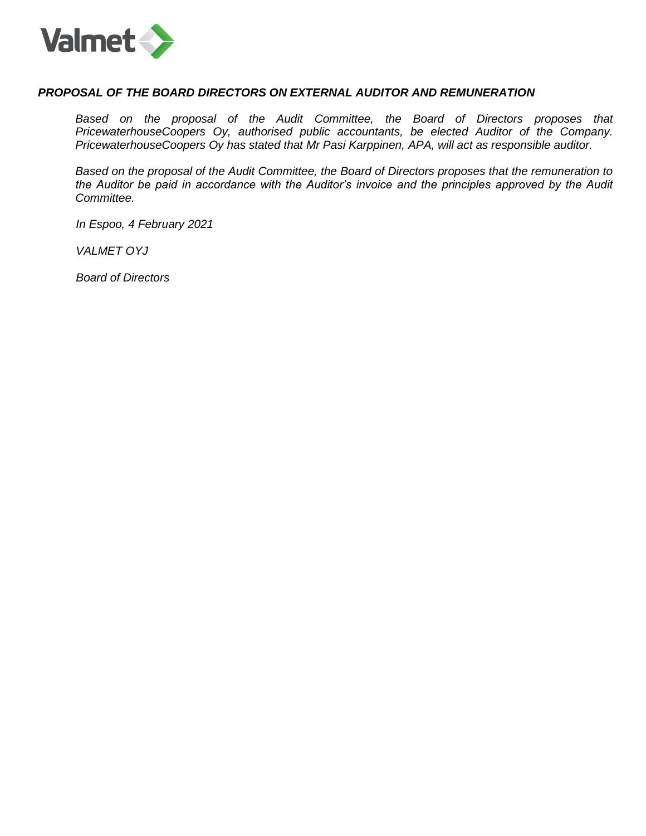

### *PROPOSAL OF THE BOARD DIRECTORS ON EXTERNAL AUDITOR AND REMUNERATION*

Based on the proposal of the Audit Committee, the Board of Directors proposes that *PricewaterhouseCoopers Oy, authorised public accountants, be elected Auditor of the Company. PricewaterhouseCoopers Oy has stated that Mr Pasi Karppinen, APA, will act as responsible auditor.*

*Based on the proposal of the Audit Committee, the Board of Directors proposes that the remuneration to the Auditor be paid in accordance with the Auditor's invoice and the principles approved by the Audit Committee.*

*In Espoo, 4 February 2021*

*VALMET OYJ*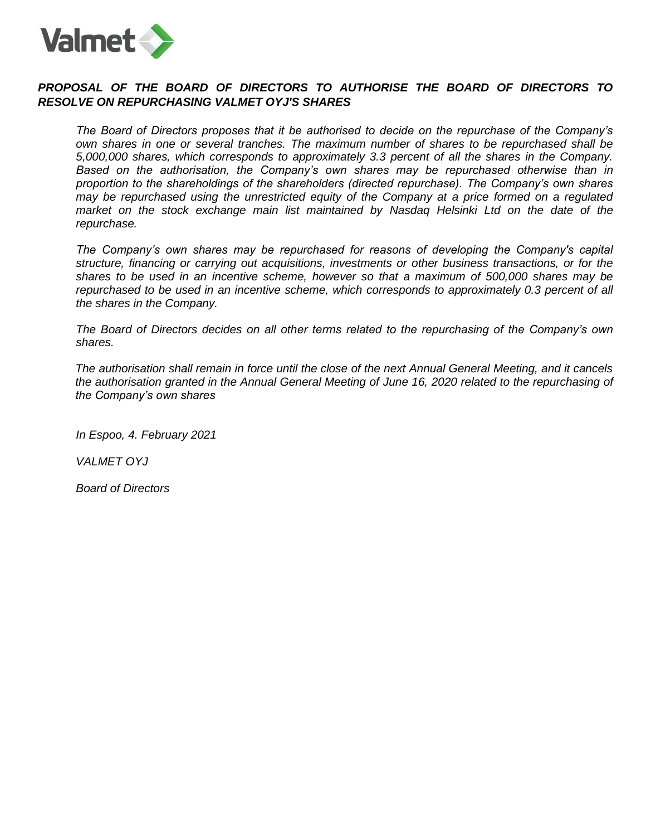

# *PROPOSAL OF THE BOARD OF DIRECTORS TO AUTHORISE THE BOARD OF DIRECTORS TO RESOLVE ON REPURCHASING VALMET OYJ'S SHARES*

*The Board of Directors proposes that it be authorised to decide on the repurchase of the Company's own shares in one or several tranches. The maximum number of shares to be repurchased shall be 5,000,000 shares, which corresponds to approximately 3.3 percent of all the shares in the Company. Based on the authorisation, the Company's own shares may be repurchased otherwise than in proportion to the shareholdings of the shareholders (directed repurchase). The Company's own shares may be repurchased using the unrestricted equity of the Company at a price formed on a regulated market on the stock exchange main list maintained by Nasdaq Helsinki Ltd on the date of the repurchase.*

*The Company's own shares may be repurchased for reasons of developing the Company's capital structure, financing or carrying out acquisitions, investments or other business transactions, or for the shares to be used in an incentive scheme, however so that a maximum of 500,000 shares may be repurchased to be used in an incentive scheme, which corresponds to approximately 0.3 percent of all the shares in the Company.*

*The Board of Directors decides on all other terms related to the repurchasing of the Company's own shares.*

*The authorisation shall remain in force until the close of the next Annual General Meeting, and it cancels the authorisation granted in the Annual General Meeting of June 16, 2020 related to the repurchasing of the Company's own shares*

*In Espoo, 4. February 2021*

*VALMET OYJ*